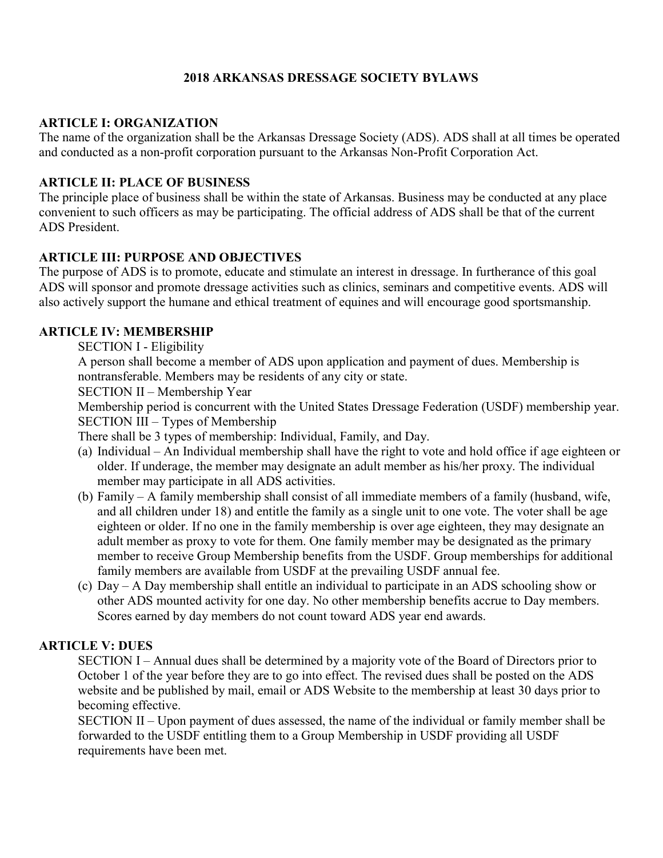# 2018 ARKANSAS DRESSAGE SOCIETY BYLAWS

## ARTICLE I: ORGANIZATION

The name of the organization shall be the Arkansas Dressage Society (ADS). ADS shall at all times be operated and conducted as a non-profit corporation pursuant to the Arkansas Non-Profit Corporation Act.

### ARTICLE II: PLACE OF BUSINESS

The principle place of business shall be within the state of Arkansas. Business may be conducted at any place convenient to such officers as may be participating. The official address of ADS shall be that of the current ADS President.

### ARTICLE III: PURPOSE AND OBJECTIVES

The purpose of ADS is to promote, educate and stimulate an interest in dressage. In furtherance of this goal ADS will sponsor and promote dressage activities such as clinics, seminars and competitive events. ADS will also actively support the humane and ethical treatment of equines and will encourage good sportsmanship.

#### ARTICLE IV: MEMBERSHIP

SECTION I - Eligibility

A person shall become a member of ADS upon application and payment of dues. Membership is nontransferable. Members may be residents of any city or state.

SECTION II – Membership Year

Membership period is concurrent with the United States Dressage Federation (USDF) membership year. SECTION III – Types of Membership

There shall be 3 types of membership: Individual, Family, and Day.

- (a) Individual An Individual membership shall have the right to vote and hold office if age eighteen or older. If underage, the member may designate an adult member as his/her proxy. The individual member may participate in all ADS activities.
- (b) Family A family membership shall consist of all immediate members of a family (husband, wife, and all children under 18) and entitle the family as a single unit to one vote. The voter shall be age eighteen or older. If no one in the family membership is over age eighteen, they may designate an adult member as proxy to vote for them. One family member may be designated as the primary member to receive Group Membership benefits from the USDF. Group memberships for additional family members are available from USDF at the prevailing USDF annual fee.
- (c) Day A Day membership shall entitle an individual to participate in an ADS schooling show or other ADS mounted activity for one day. No other membership benefits accrue to Day members. Scores earned by day members do not count toward ADS year end awards.

## ARTICLE V: DUES

SECTION I – Annual dues shall be determined by a majority vote of the Board of Directors prior to October 1 of the year before they are to go into effect. The revised dues shall be posted on the ADS website and be published by mail, email or ADS Website to the membership at least 30 days prior to becoming effective.

SECTION II – Upon payment of dues assessed, the name of the individual or family member shall be forwarded to the USDF entitling them to a Group Membership in USDF providing all USDF requirements have been met.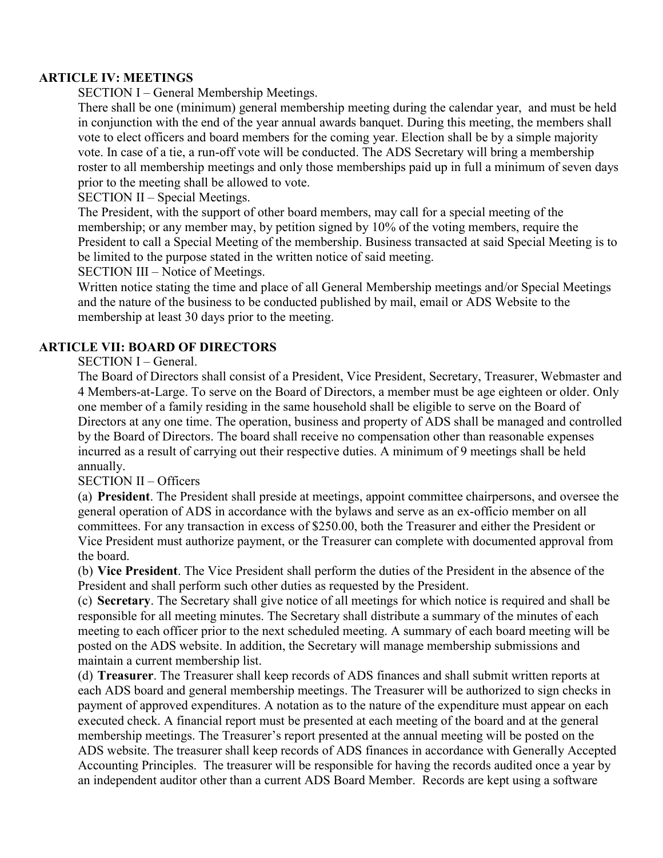## ARTICLE IV: MEETINGS

SECTION I – General Membership Meetings.

There shall be one (minimum) general membership meeting during the calendar year, and must be held in conjunction with the end of the year annual awards banquet. During this meeting, the members shall vote to elect officers and board members for the coming year. Election shall be by a simple majority vote. In case of a tie, a run-off vote will be conducted. The ADS Secretary will bring a membership roster to all membership meetings and only those memberships paid up in full a minimum of seven days prior to the meeting shall be allowed to vote.

SECTION II – Special Meetings.

The President, with the support of other board members, may call for a special meeting of the membership; or any member may, by petition signed by 10% of the voting members, require the President to call a Special Meeting of the membership. Business transacted at said Special Meeting is to be limited to the purpose stated in the written notice of said meeting.

SECTION III – Notice of Meetings.

Written notice stating the time and place of all General Membership meetings and/or Special Meetings and the nature of the business to be conducted published by mail, email or ADS Website to the membership at least 30 days prior to the meeting.

### ARTICLE VII: BOARD OF DIRECTORS

SECTION I – General.

The Board of Directors shall consist of a President, Vice President, Secretary, Treasurer, Webmaster and 4 Members-at-Large. To serve on the Board of Directors, a member must be age eighteen or older. Only one member of a family residing in the same household shall be eligible to serve on the Board of Directors at any one time. The operation, business and property of ADS shall be managed and controlled by the Board of Directors. The board shall receive no compensation other than reasonable expenses incurred as a result of carrying out their respective duties. A minimum of 9 meetings shall be held annually.

#### SECTION II – Officers

(a) President. The President shall preside at meetings, appoint committee chairpersons, and oversee the general operation of ADS in accordance with the bylaws and serve as an ex-officio member on all committees. For any transaction in excess of \$250.00, both the Treasurer and either the President or Vice President must authorize payment, or the Treasurer can complete with documented approval from the board.

(b) Vice President. The Vice President shall perform the duties of the President in the absence of the President and shall perform such other duties as requested by the President.

(c) Secretary. The Secretary shall give notice of all meetings for which notice is required and shall be responsible for all meeting minutes. The Secretary shall distribute a summary of the minutes of each meeting to each officer prior to the next scheduled meeting. A summary of each board meeting will be posted on the ADS website. In addition, the Secretary will manage membership submissions and maintain a current membership list.

(d) Treasurer. The Treasurer shall keep records of ADS finances and shall submit written reports at each ADS board and general membership meetings. The Treasurer will be authorized to sign checks in payment of approved expenditures. A notation as to the nature of the expenditure must appear on each executed check. A financial report must be presented at each meeting of the board and at the general membership meetings. The Treasurer's report presented at the annual meeting will be posted on the ADS website. The treasurer shall keep records of ADS finances in accordance with Generally Accepted Accounting Principles. The treasurer will be responsible for having the records audited once a year by an independent auditor other than a current ADS Board Member. Records are kept using a software